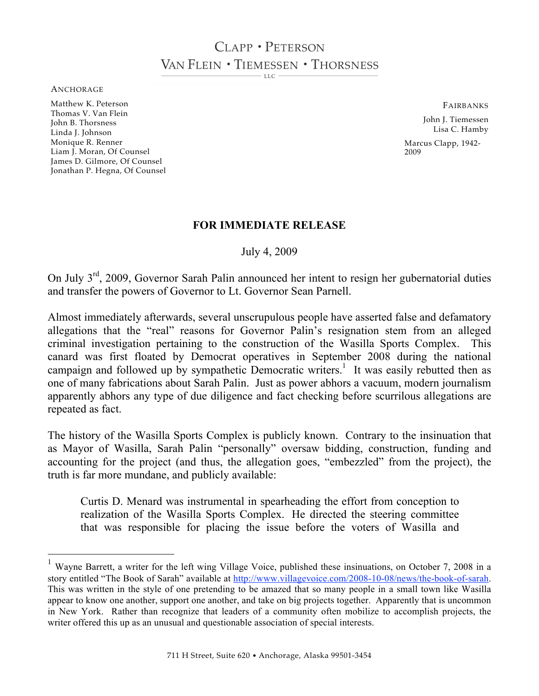# CLAPP · PETERSON VAN FLEIN . TIEMESSEN . THORSNESS

 $\overline{L}$ 

ANCHORAGE

Matthew K. Peterson Thomas V. Van Flein John B. Thorsness Linda J. Johnson Monique R. Renner Liam J. Moran, Of Counsel James D. Gilmore, Of Counsel Jonathan P. Hegna, Of Counsel FAIRBANKS

John J. Tiemessen Lisa C. Hamby Marcus Clapp, 1942- 2009

#### **FOR IMMEDIATE RELEASE**

July 4, 2009

On July 3rd, 2009, Governor Sarah Palin announced her intent to resign her gubernatorial duties and transfer the powers of Governor to Lt. Governor Sean Parnell.

Almost immediately afterwards, several unscrupulous people have asserted false and defamatory allegations that the "real" reasons for Governor Palin's resignation stem from an alleged criminal investigation pertaining to the construction of the Wasilla Sports Complex. This canard was first floated by Democrat operatives in September 2008 during the national campaign and followed up by sympathetic Democratic writers.<sup>1</sup> It was easily rebutted then as one of many fabrications about Sarah Palin. Just as power abhors a vacuum, modern journalism apparently abhors any type of due diligence and fact checking before scurrilous allegations are repeated as fact.

The history of the Wasilla Sports Complex is publicly known. Contrary to the insinuation that as Mayor of Wasilla, Sarah Palin "personally" oversaw bidding, construction, funding and accounting for the project (and thus, the allegation goes, "embezzled" from the project), the truth is far more mundane, and publicly available:

Curtis D. Menard was instrumental in spearheading the effort from conception to realization of the Wasilla Sports Complex. He directed the steering committee that was responsible for placing the issue before the voters of Wasilla and

<sup>&</sup>lt;sup>1</sup> Wayne Barrett, a writer for the left wing Village Voice, published these insinuations, on October 7, 2008 in a story entitled "The Book of Sarah" available at http://www.villagevoice.com/2008-10-08/news/the-book-of-sarah. This was written in the style of one pretending to be amazed that so many people in a small town like Wasilla appear to know one another, support one another, and take on big projects together. Apparently that is uncommon in New York. Rather than recognize that leaders of a community often mobilize to accomplish projects, the writer offered this up as an unusual and questionable association of special interests.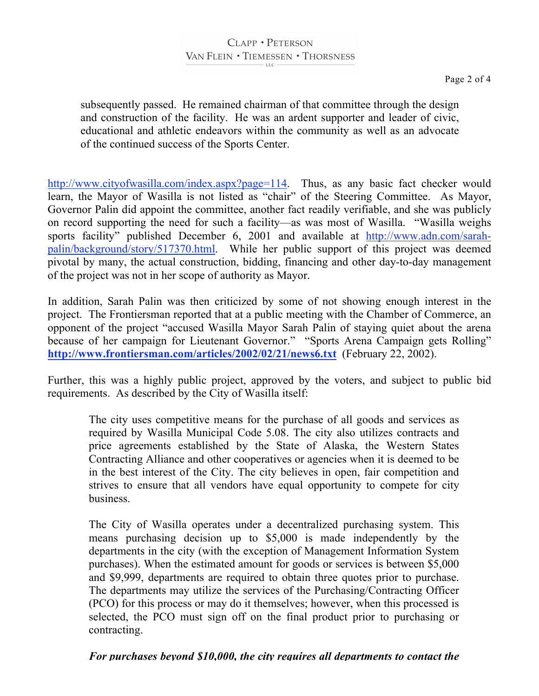## CLAPP · PETERSON VAN FLEIN . TIEMESSEN . THORSNESS

subsequently passed. He remained chairman of that committee through the design and construction of the facility. He was an ardent supporter and leader of civic, educational and athletic endeavors within the community as well as an advocate of the continued success of the Sports Center.

http://www.cityofwasilla.com/index.aspx?page=114. Thus, as any basic fact checker would learn, the Mayor of Wasilla is not listed as "chair" of the Steering Committee. As Mayor, Governor Palin did appoint the committee, another fact readily verifiable, and she was publicly on record supporting the need for such a facility—as was most of Wasilla. "Wasilla weighs sports facility" published December 6, 2001 and available at http://www.adn.com/sarahpalin/background/story/517370.html. While her public support of this project was deemed pivotal by many, the actual construction, bidding, financing and other day-to-day management of the project was not in her scope of authority as Mayor.

In addition, Sarah Palin was then criticized by some of not showing enough interest in the project. The Frontiersman reported that at a public meeting with the Chamber of Commerce, an opponent of the project "accused Wasilla Mayor Sarah Palin of staying quiet about the arena because of her campaign for Lieutenant Governor.""Sports Arena Campaign gets Rolling" **http://www.frontiersman.com/articles/2002/02/21/news6.txt** (February 22, 2002).

Further, this was a highly public project, approved by the voters, and subject to public bid requirements. As described by the City of Wasilla itself:

The city uses competitive means for the purchase of all goods and services as required by Wasilla Municipal Code 5.08. The city also utilizes contracts and price agreements established by the State of Alaska, the Western States Contracting Alliance and other cooperatives or agencies when it is deemed to be in the best interest of the City. The city believes in open, fair competition and strives to ensure that all vendors have equal opportunity to compete for city business.

The City of Wasilla operates under a decentralized purchasing system. This means purchasing decision up to \$5,000 is made independently by the departments in the city (with the exception of Management Information System purchases). When the estimated amount for goods or services is between \$5,000 and \$9,999, departments are required to obtain three quotes prior to purchase. The departments may utilize the services of the Purchasing/Contracting Officer (PCO) for this process or may do it themselves; however, when this processed is selected, the PCO must sign off on the final product prior to purchasing or contracting.

### *For purchases beyond \$10,000, the city requires all departments to contact the*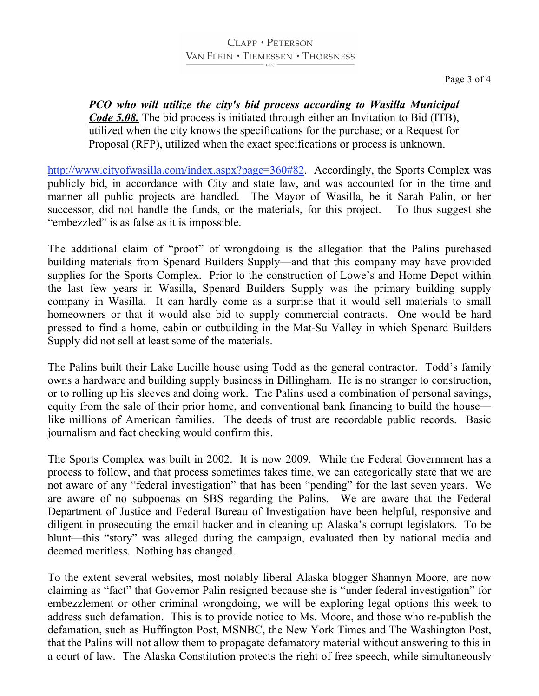## CLAPP · PETERSON VAN FLEIN . TIEMESSEN . THORSNESS

### *PCO who will utilize the city's bid process according to Wasilla Municipal Code 5.08.* The bid process is initiated through either an Invitation to Bid (ITB), utilized when the city knows the specifications for the purchase; or a Request for Proposal (RFP), utilized when the exact specifications or process is unknown.

http://www.cityofwasilla.com/index.aspx?page=360#82. Accordingly, the Sports Complex was publicly bid, in accordance with City and state law, and was accounted for in the time and manner all public projects are handled. The Mayor of Wasilla, be it Sarah Palin, or her successor, did not handle the funds, or the materials, for this project. To thus suggest she "embezzled" is as false as it is impossible.

The additional claim of "proof" of wrongdoing is the allegation that the Palins purchased building materials from Spenard Builders Supply—and that this company may have provided supplies for the Sports Complex. Prior to the construction of Lowe's and Home Depot within the last few years in Wasilla, Spenard Builders Supply was the primary building supply company in Wasilla. It can hardly come as a surprise that it would sell materials to small homeowners or that it would also bid to supply commercial contracts. One would be hard pressed to find a home, cabin or outbuilding in the Mat-Su Valley in which Spenard Builders Supply did not sell at least some of the materials.

The Palins built their Lake Lucille house using Todd as the general contractor. Todd's family owns a hardware and building supply business in Dillingham. He is no stranger to construction, or to rolling up his sleeves and doing work. The Palins used a combination of personal savings, equity from the sale of their prior home, and conventional bank financing to build the house like millions of American families. The deeds of trust are recordable public records. Basic journalism and fact checking would confirm this.

The Sports Complex was built in 2002. It is now 2009. While the Federal Government has a process to follow, and that process sometimes takes time, we can categorically state that we are not aware of any "federal investigation" that has been "pending" for the last seven years. We are aware of no subpoenas on SBS regarding the Palins. We are aware that the Federal Department of Justice and Federal Bureau of Investigation have been helpful, responsive and diligent in prosecuting the email hacker and in cleaning up Alaska's corrupt legislators. To be blunt—this "story" was alleged during the campaign, evaluated then by national media and deemed meritless. Nothing has changed.

To the extent several websites, most notably liberal Alaska blogger Shannyn Moore, are now claiming as "fact" that Governor Palin resigned because she is "under federal investigation" for embezzlement or other criminal wrongdoing, we will be exploring legal options this week to address such defamation. This is to provide notice to Ms. Moore, and those who re-publish the defamation, such as Huffington Post, MSNBC, the New York Times and The Washington Post, that the Palins will not allow them to propagate defamatory material without answering to this in a court of law. The Alaska Constitution protects the right of free speech, while simultaneously